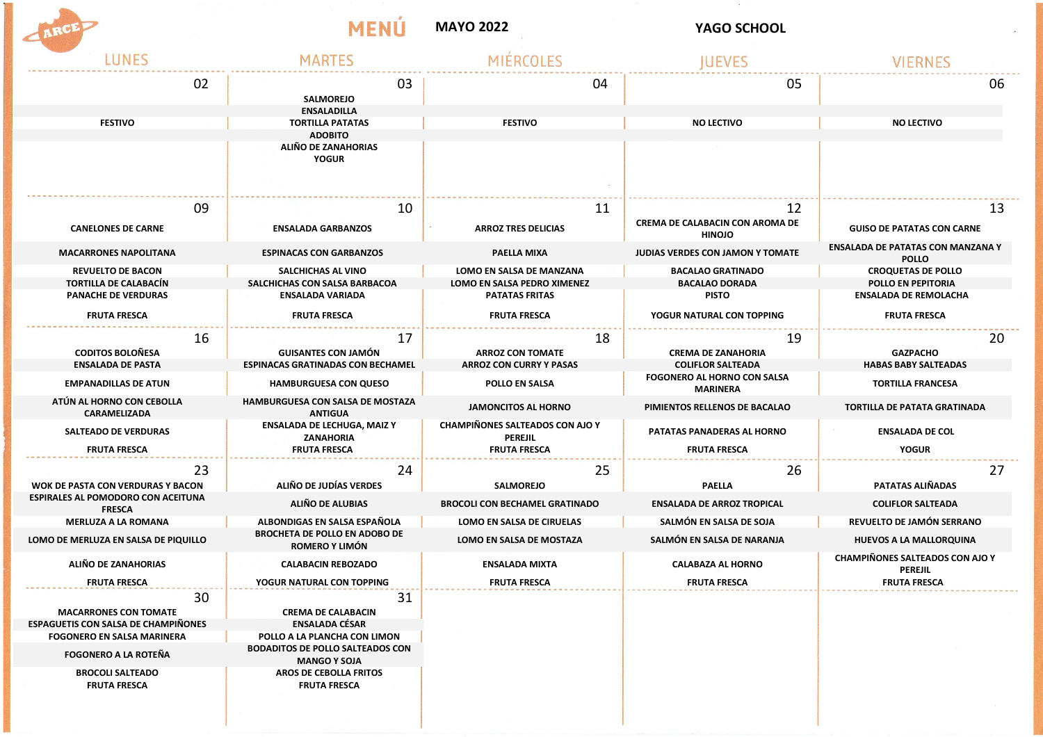## MAYO 2022 **WELL ASSESSED AT A REPORT OF A VAGO SCHOOL**

一体の

MENÚ



| LUNES                                                      | MARTES                                                                        |                                                                                 | <b>IUEVES</b>                                           |                                                          |
|------------------------------------------------------------|-------------------------------------------------------------------------------|---------------------------------------------------------------------------------|---------------------------------------------------------|----------------------------------------------------------|
| 02                                                         | 03<br><b>SALMOREJO</b>                                                        | 04                                                                              | 05                                                      | 06                                                       |
|                                                            | <b>ENSALADILLA</b>                                                            |                                                                                 |                                                         |                                                          |
| <b>FESTIVO</b>                                             | <b>TORTILLA PATATAS</b><br><b>ADOBITO</b>                                     | <b>FESTIVO</b>                                                                  | <b>NO LECTIVO</b>                                       | <b>NO LECTIVO</b>                                        |
|                                                            | ALIÑO DE ZANAHORIAS<br><b>YOGUR</b>                                           |                                                                                 |                                                         |                                                          |
| 09                                                         | 10                                                                            | 11                                                                              | 12                                                      | 13                                                       |
| <b>CANELONES DE CARNE</b>                                  | <b>ENSALADA GARBANZOS</b>                                                     | <b>ARROZ TRES DELICIAS</b>                                                      | <b>CREMA DE CALABACIN CON AROMA DE</b><br><b>HINOJO</b> | <b>GUISO DE PATATAS CON CARNE</b>                        |
| <b>MACARRONES NAPOLITANA</b>                               | <b>ESPINACAS CON GARBANZOS</b>                                                | PAELLA MIXA                                                                     | <b>JUDIAS VERDES CON JAMON Y TOMATE</b>                 | <b>ENSALADA DE PATATAS CON MANZANA Y</b><br><b>POLLO</b> |
| <b>REVUELTO DE BACON</b>                                   | SALCHICHAS AL VINO                                                            | LOMO EN SALSA DE MANZANA                                                        | <b>BACALAO GRATINADO</b>                                | <b>CROQUETAS DE POLLO</b>                                |
| <b>TORTILLA DE CALABACÍN</b>                               | SALCHICHAS CON SALSA BARBACOA                                                 | LOMO EN SALSA PEDRO XIMENEZ                                                     | <b>BACALAO DORADA</b>                                   | <b>POLLO EN PEPITORIA</b>                                |
| <b>PANACHE DE VERDURAS</b>                                 | <b>ENSALADA VARIADA</b>                                                       | <b>PATATAS FRITAS</b>                                                           | <b>PISTO</b>                                            | <b>ENSALADA DE REMOLACHA</b>                             |
| <b>FRUTA FRESCA</b>                                        | <b>FRUTA FRESCA</b>                                                           | <b>FRUTA FRESCA</b>                                                             | YOGUR NATURAL CON TOPPING                               | <b>FRUTA FRESCA</b>                                      |
| 16                                                         | 17                                                                            | 18                                                                              | 19                                                      | 20                                                       |
| <b>CODITOS BOLOÑESA</b>                                    | <b>GUISANTES CON JAMÓN</b>                                                    | <b>ARROZ CON TOMATE</b>                                                         | <b>CREMA DE ZANAHORIA</b>                               | <b>GAZPACHO</b>                                          |
| <b>ENSALADA DE PASTA</b>                                   | <b>ESPINACAS GRATINADAS CON BECHAMEL</b>                                      | <b>ARROZ CON CURRY Y PASAS</b>                                                  | <b>COLIFLOR SALTEADA</b>                                | <b>HABAS BABY SALTEADAS</b>                              |
| <b>EMPANADILLAS DE ATUN</b>                                | <b>HAMBURGUESA CON QUESO</b>                                                  | POLLO EN SALSA                                                                  | <b>FOGONERO AL HORNO CON SALSA</b><br>MARINERA          | <b>TORTILLA FRANCESA</b>                                 |
| ATÚN AL HORNO CON CEBOLLA<br><b>CARAMELIZADA</b>           | HAMBURGUESA CON SALSA DE MOSTAZA<br><b>ANTIGUA</b>                            | <b>JAMONCITOS AL HORNO</b>                                                      | PIMIENTOS RELLENOS DE BACALAO                           | <b>TORTILLA DE PATATA GRATINADA</b>                      |
| <b>SALTEADO DE VERDURAS</b><br><b>FRUTA FRESCA</b>         | <b>ENSALADA DE LECHUGA, MAIZ Y</b><br><b>ZANAHORIA</b><br><b>FRUTA FRESCA</b> | <b>CHAMPIÑONES SALTEADOS CON AJO Y</b><br><b>PEREJIL</b><br><b>FRUTA FRESCA</b> | PATATAS PANADERAS AL HORNO<br><b>FRUTA FRESCA</b>       | <b>ENSALADA DE COL</b><br><b>YOGUR</b>                   |
| 23                                                         | 24                                                                            | 25                                                                              | 26                                                      | 27                                                       |
| <b>WOK DE PASTA CON VERDURAS Y BACON</b>                   | ALIÑO DE JUDÍAS VERDES                                                        | <b>SALMOREJO</b>                                                                | <b>PAELLA</b>                                           | PATATAS ALIÑADAS                                         |
| <b>ESPIRALES AL POMODORO CON ACEITUNA</b><br><b>FRESCA</b> | ALIÑO DE ALUBIAS                                                              | <b>BROCOLI CON BECHAMEL GRATINADO</b>                                           | <b>ENSALADA DE ARROZ TROPICAL</b>                       | <b>COLIFLOR SALTEADA</b>                                 |
| <b>MERLUZA A LA ROMANA</b>                                 | ALBONDIGAS EN SALSA ESPAÑOLA                                                  | LOMO EN SALSA DE CIRUELAS                                                       | SALMÓN EN SALSA DE SOJA                                 | REVUELTO DE JAMÓN SERRANO                                |
| LOMO DE MERLUZA EN SALSA DE PIQUILLO                       | <b>BROCHETA DE POLLO EN ADOBO DE</b><br>ROMERO Y LIMÓN                        | <b>LOMO EN SALSA DE MOSTAZA</b>                                                 | SALMÓN EN SALSA DE NARANJA                              | HUEVOS A LA MALLORQUINA                                  |
| ALIÑO DE ZANAHORIAS                                        | <b>CALABACIN REBOZADO</b>                                                     | <b>ENSALADA MIXTA</b>                                                           | <b>CALABAZA AL HORNO</b>                                | <b>CHAMPIÑONES SALTEADOS CON AJO Y</b><br><b>PEREJIL</b> |
| <b>FRUTA FRESCA</b>                                        | YOGUR NATURAL CON TOPPING                                                     | <b>FRUTA FRESCA</b>                                                             | <b>FRUTA FRESCA</b>                                     | <b>FRUTA FRESCA</b>                                      |
| 30<br><b>MACARRONES CON TOMATE</b>                         | 31<br><b>CREMA DE CALABACIN</b>                                               |                                                                                 |                                                         |                                                          |
| <b>ESPAGUETIS CON SALSA DE CHAMPIÑONES</b>                 | <b>ENSALADA CÉSAR</b>                                                         |                                                                                 |                                                         |                                                          |
| <b>FOGONERO EN SALSA MARINERA</b>                          | POLLO A LA PLANCHA CON LIMON                                                  |                                                                                 |                                                         |                                                          |
| <b>FOGONERO A LA ROTEÑA</b>                                | <b>BODADITOS DE POLLO SALTEADOS CON</b><br><b>MANGO Y SOJA</b>                |                                                                                 |                                                         |                                                          |
| <b>BROCOLI SALTEADO</b><br><b>FRUTA FRESCA</b>             | AROS DE CEBOLLA FRITOS<br><b>FRUTA FRESCA</b>                                 |                                                                                 |                                                         |                                                          |